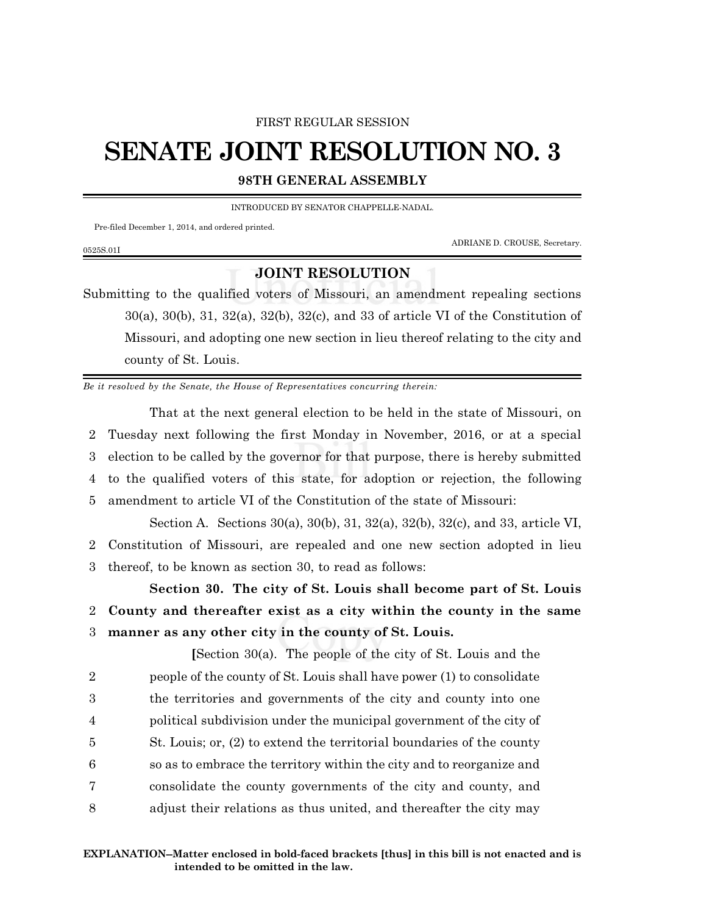## FIRST REGULAR SESSION

## **SENATE JOINT RESOLUTION NO. 3**

**98TH GENERAL ASSEMBLY**

INTRODUCED BY SENATOR CHAPPELLE-NADAL.

Pre-filed December 1, 2014, and ordered printed.

ADRIANE D. CROUSE, Secretary.

## 0525S.01I

## **JOINT RESOLUTION**

Submitting to the qualified voters of Missouri, an amendment repealing sections 30(a), 30(b), 31, 32(a), 32(b), 32(c), and 33 of article VI of the Constitution of Missouri, and adopting one new section in lieu thereof relating to the city and county of St. Louis.

*Be it resolved by the Senate, the House of Representatives concurring therein:*

That at the next general election to be held in the state of Missouri, on Tuesday next following the first Monday in November, 2016, or at a special election to be called by the governor for that purpose, there is hereby submitted to the qualified voters of this state, for adoption or rejection, the following amendment to article VI of the Constitution of the state of Missouri:

Section A. Sections 30(a), 30(b), 31, 32(a), 32(b), 32(c), and 33, article VI, 2 Constitution of Missouri, are repealed and one new section adopted in lieu 3 thereof, to be known as section 30, to read as follows:

**Section 30. The city of St. Louis shall become part of St. Louis** 2 **County and thereafter exist as a city within the county in the same** 3 **manner as any other city in the county of St. Louis.**

**[**Section 30(a). The people of the city of St. Louis and the people of the county of St. Louis shall have power (1) to consolidate the territories and governments of the city and county into one political subdivision under the municipal government of the city of St. Louis; or, (2) to extend the territorial boundaries of the county so as to embrace the territory within the city and to reorganize and consolidate the county governments of the city and county, and adjust their relations as thus united, and thereafter the city may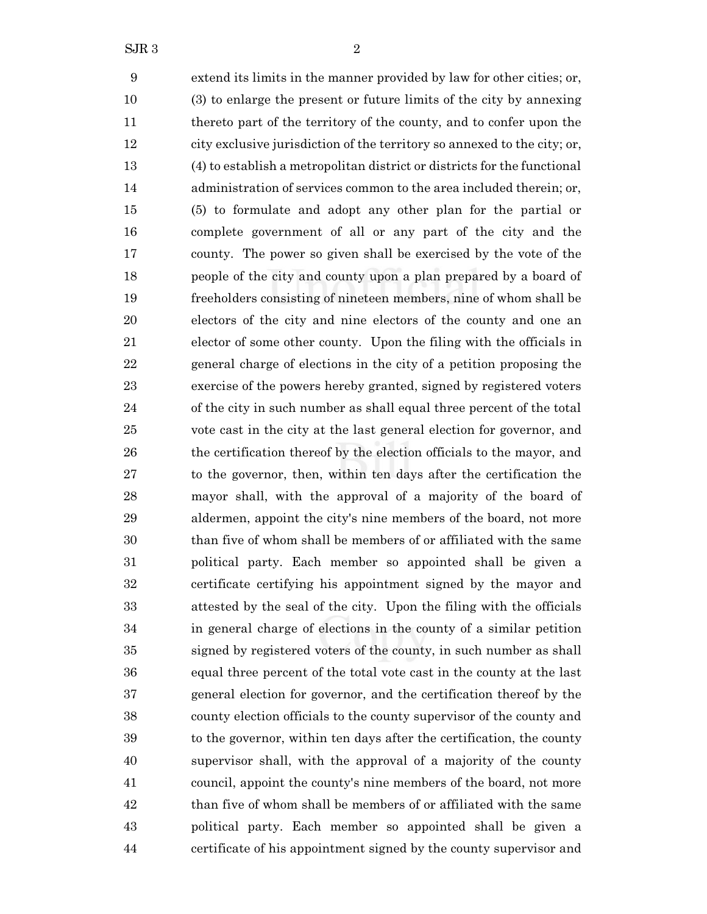| 9  | extend its limits in the manner provided by law for other cities; or,    |
|----|--------------------------------------------------------------------------|
| 10 | (3) to enlarge the present or future limits of the city by annexing      |
| 11 | thereto part of the territory of the county, and to confer upon the      |
| 12 | city exclusive jurisdiction of the territory so annexed to the city; or, |
| 13 | (4) to establish a metropolitan district or districts for the functional |
| 14 | administration of services common to the area included therein; or,      |
| 15 | (5) to formulate and adopt any other plan for the partial or             |
| 16 | complete government of all or any part of the city and the               |
| 17 | county. The power so given shall be exercised by the vote of the         |
| 18 | people of the city and county upon a plan prepared by a board of         |
| 19 | freeholders consisting of nineteen members, nine of whom shall be        |
| 20 | electors of the city and nine electors of the county and one an          |
| 21 | elector of some other county. Upon the filing with the officials in      |
| 22 | general charge of elections in the city of a petition proposing the      |
| 23 | exercise of the powers hereby granted, signed by registered voters       |
| 24 | of the city in such number as shall equal three percent of the total     |
| 25 | vote cast in the city at the last general election for governor, and     |
| 26 | the certification thereof by the election officials to the mayor, and    |
| 27 | to the governor, then, within ten days after the certification the       |
| 28 | mayor shall, with the approval of a majority of the board of             |
| 29 | aldermen, appoint the city's nine members of the board, not more         |
| 30 | than five of whom shall be members of or affiliated with the same        |
| 31 | political party. Each member so appointed shall be given a               |
| 32 | certificate certifying his appointment signed by the mayor and           |
| 33 | attested by the seal of the city. Upon the filing with the officials     |
| 34 | in general charge of elections in the county of a similar petition       |
| 35 | signed by registered voters of the county, in such number as shall       |
| 36 | equal three percent of the total vote cast in the county at the last     |
| 37 | general election for governor, and the certification thereof by the      |
| 38 | county election officials to the county supervisor of the county and     |
| 39 | to the governor, within ten days after the certification, the county     |
| 40 | supervisor shall, with the approval of a majority of the county          |
| 41 | council, appoint the county's nine members of the board, not more        |
| 42 | than five of whom shall be members of or affiliated with the same        |
| 43 | political party. Each member so appointed shall be given a               |
| 44 | certificate of his appointment signed by the county supervisor and       |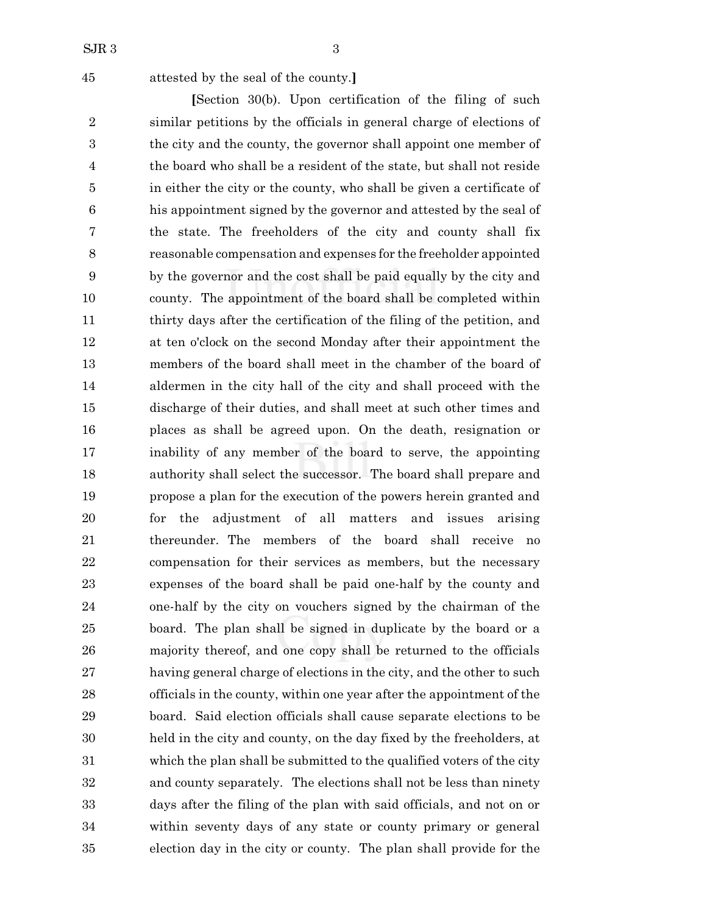attested by the seal of the county.**]**

**[**Section 30(b). Upon certification of the filing of such similar petitions by the officials in general charge of elections of the city and the county, the governor shall appoint one member of the board who shall be a resident of the state, but shall not reside in either the city or the county, who shall be given a certificate of his appointment signed by the governor and attested by the seal of the state. The freeholders of the city and county shall fix reasonable compensation and expenses for the freeholder appointed by the governor and the cost shall be paid equally by the city and county. The appointment of the board shall be completed within thirty days after the certification of the filing of the petition, and at ten o'clock on the second Monday after their appointment the members of the board shall meet in the chamber of the board of aldermen in the city hall of the city and shall proceed with the discharge of their duties, and shall meet at such other times and places as shall be agreed upon. On the death, resignation or inability of any member of the board to serve, the appointing authority shall select the successor. The board shall prepare and propose a plan for the execution of the powers herein granted and for the adjustment of all matters and issues arising thereunder. The members of the board shall receive no compensation for their services as members, but the necessary expenses of the board shall be paid one-half by the county and one-half by the city on vouchers signed by the chairman of the board. The plan shall be signed in duplicate by the board or a majority thereof, and one copy shall be returned to the officials having general charge of elections in the city, and the other to such officials in the county, within one year after the appointment of the board. Said election officials shall cause separate elections to be held in the city and county, on the day fixed by the freeholders, at which the plan shall be submitted to the qualified voters of the city and county separately. The elections shall not be less than ninety days after the filing of the plan with said officials, and not on or within seventy days of any state or county primary or general election day in the city or county. The plan shall provide for the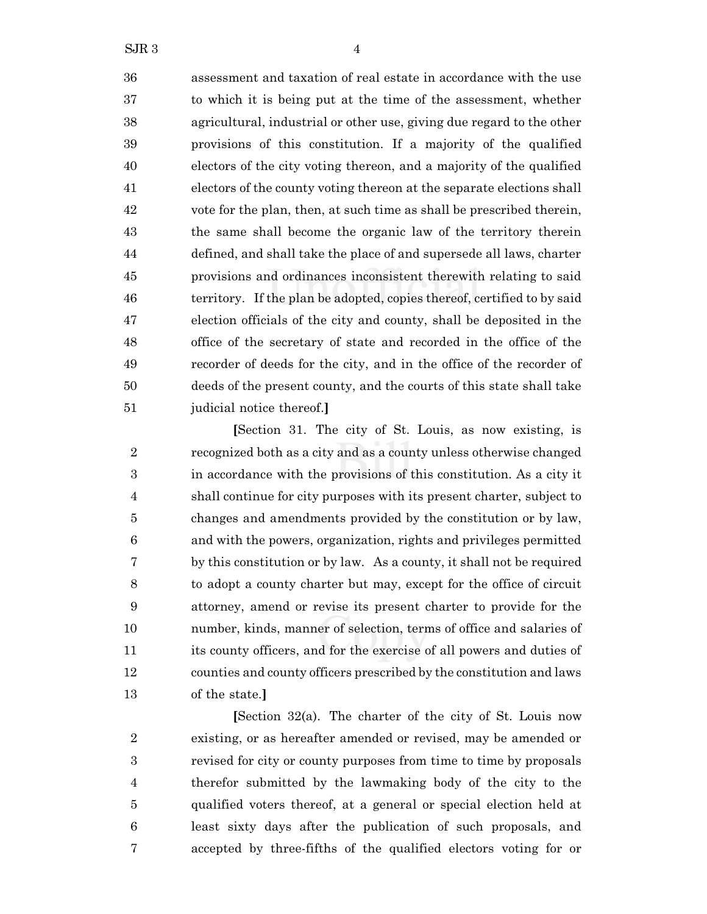assessment and taxation of real estate in accordance with the use to which it is being put at the time of the assessment, whether agricultural, industrial or other use, giving due regard to the other provisions of this constitution. If a majority of the qualified electors of the city voting thereon, and a majority of the qualified electors of the county voting thereon at the separate elections shall vote for the plan, then, at such time as shall be prescribed therein, the same shall become the organic law of the territory therein defined, and shall take the place of and supersede all laws, charter provisions and ordinances inconsistent therewith relating to said territory. If the plan be adopted, copies thereof, certified to by said election officials of the city and county, shall be deposited in the office of the secretary of state and recorded in the office of the recorder of deeds for the city, and in the office of the recorder of deeds of the present county, and the courts of this state shall take judicial notice thereof.**]**

**[**Section 31. The city of St. Louis, as now existing, is recognized both as a city and as a county unless otherwise changed in accordance with the provisions of this constitution. As a city it shall continue for city purposes with its present charter, subject to changes and amendments provided by the constitution or by law, and with the powers, organization, rights and privileges permitted by this constitution or by law. As a county, it shall not be required to adopt a county charter but may, except for the office of circuit attorney, amend or revise its present charter to provide for the number, kinds, manner of selection, terms of office and salaries of its county officers, and for the exercise of all powers and duties of counties and county officers prescribed by the constitution and laws of the state.**]**

**[**Section 32(a). The charter of the city of St. Louis now existing, or as hereafter amended or revised, may be amended or revised for city or county purposes from time to time by proposals therefor submitted by the lawmaking body of the city to the qualified voters thereof, at a general or special election held at least sixty days after the publication of such proposals, and accepted by three-fifths of the qualified electors voting for or